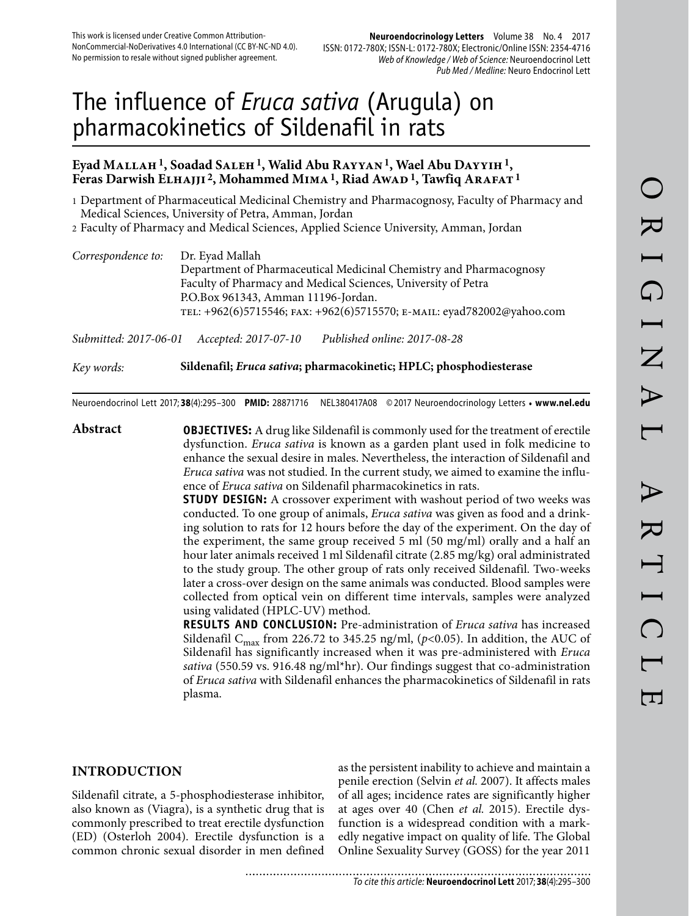# The influence of *Eruca sativa* (Arugula) on pharmacokinetics of Sildenafil in rats

## **Eyad Mallah 1, Soadad Saleh 1, Walid Abu Rayyan 1, Wael Abu Dayyih 1,**  Feras Darwish ELHAJJI<sup>2</sup>, Mohammed MIMA<sup>1</sup>, Riad Awap<sup>1</sup>, Tawfiq ARAFAT<sup>1</sup>

1 Department of Pharmaceutical Medicinal Chemistry and Pharmacognosy, Faculty of Pharmacy and Medical Sciences, University of Petra, Amman, Jordan

2 Faculty of Pharmacy and Medical Sciences, Applied Science University, Amman, Jordan

| Correspondence to: | Dr. Eyad Mallah<br>Department of Pharmaceutical Medicinal Chemistry and Pharmacognosy<br>Faculty of Pharmacy and Medical Sciences, University of Petra |
|--------------------|--------------------------------------------------------------------------------------------------------------------------------------------------------|
|                    | P.O.Box 961343, Amman 11196-Jordan.<br>TEL: +962(6)5715546; FAX: +962(6)5715570; E-MAIL: eyad782002@yahoo.com                                          |

*Submitted: 2017-06-01 Accepted: 2017-07-10 Published online: 2017-08-28*

*Key words:* **Sildenafil;** *Eruca sativa***; pharmacokinetic; HPLC; phosphodiesterase** 

Neuroendocrinol Lett 2017; **38**(4):295–300 **PMID:** 28871716 NEL380417A08 © 2017 Neuroendocrinology Letters • **www.nel.edu**

**Abstract OBJECTIVES:** A drug like Sildenafil is commonly used for the treatment of erectile dysfunction. *Eruca sativa* is known as a garden plant used in folk medicine to enhance the sexual desire in males. Nevertheless, the interaction of Sildenafil and *Eruca sativa* was not studied. In the current study, we aimed to examine the influence of *Eruca sativa* on Sildenafil pharmacokinetics in rats.

**STUDY DESIGN:** A crossover experiment with washout period of two weeks was conducted. To one group of animals, *Eruca sativa* was given as food and a drinking solution to rats for 12 hours before the day of the experiment. On the day of the experiment, the same group received 5 ml (50 mg/ml) orally and a half an hour later animals received 1 ml Sildenafil citrate (2.85 mg/kg) oral administrated to the study group. The other group of rats only received Sildenafil. Two-weeks later a cross-over design on the same animals was conducted. Blood samples were collected from optical vein on different time intervals, samples were analyzed using validated (HPLC-UV) method.

**RESULTS AND CONCLUSION:** Pre-administration of *Eruca sativa* has increased Sildenafil C<sub>max</sub> from 226.72 to 345.25 ng/ml, ( $p$ <0.05). In addition, the AUC of Sildenafil has significantly increased when it was pre-administered with *Eruca sativa* (550.59 vs. 916.48 ng/ml\*hr). Our findings suggest that co-administration of *Eruca sativa* with Sildenafil enhances the pharmacokinetics of Sildenafil in rats plasma.

## **INTRODUCTION**

Sildenafil citrate, a 5-phosphodiesterase inhibitor, also known as (Viagra), is a synthetic drug that is commonly prescribed to treat erectile dysfunction (ED) (Osterloh 2004). Erectile dysfunction is a common chronic sexual disorder in men defined as the persistent inability to achieve and maintain a penile erection (Selvin *et al.* 2007). It affects males of all ages; incidence rates are significantly higher at ages over 40 (Chen *et al.* 2015). Erectile dysfunction is a widespread condition with a markedly negative impact on quality of life. The Global Online Sexuality Survey (GOSS) for the year 2011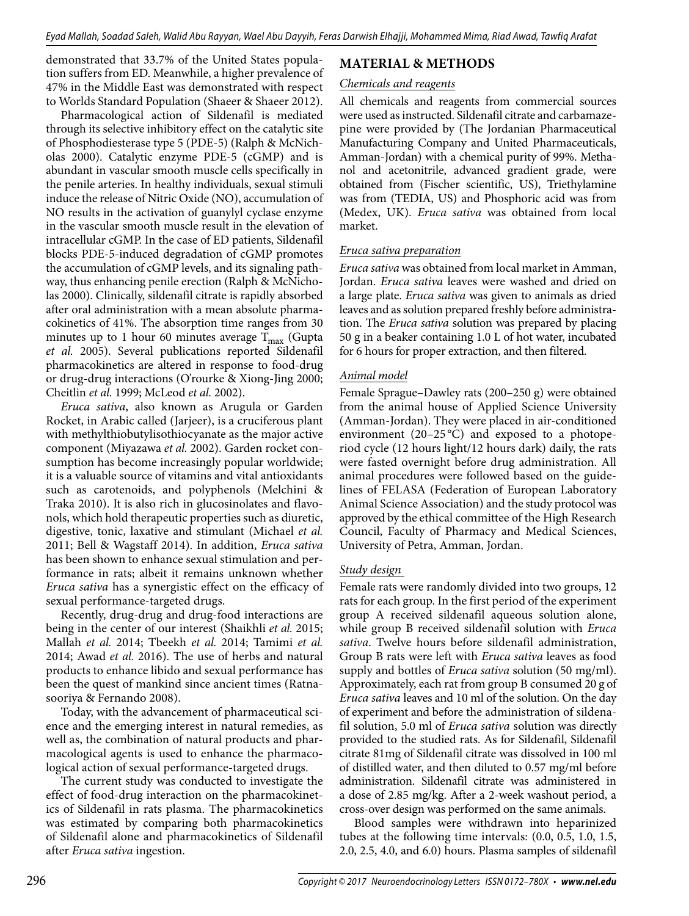demonstrated that 33.7% of the United States population suffers from ED. Meanwhile, a higher prevalence of 47% in the Middle East was demonstrated with respect to Worlds Standard Population (Shaeer & Shaeer 2012).

Pharmacological action of Sildenafil is mediated through its selective inhibitory effect on the catalytic site of Phosphodiesterase type 5 (PDE-5) (Ralph & McNicholas 2000). Catalytic enzyme PDE-5 (cGMP) and is abundant in vascular smooth muscle cells specifically in the penile arteries. In healthy individuals, sexual stimuli induce the release of Nitric Oxide (NO), accumulation of NO results in the activation of guanylyl cyclase enzyme in the vascular smooth muscle result in the elevation of intracellular cGMP. In the case of ED patients, Sildenafil blocks PDE-5-induced degradation of cGMP promotes the accumulation of cGMP levels, and its signaling pathway, thus enhancing penile erection (Ralph & McNicholas 2000). Clinically, sildenafil citrate is rapidly absorbed after oral administration with a mean absolute pharmacokinetics of 41%. The absorption time ranges from 30 minutes up to 1 hour 60 minutes average  $T_{\text{max}}$  (Gupta *et al.* 2005). Several publications reported Sildenafil pharmacokinetics are altered in response to food-drug or drug-drug interactions (O'rourke & Xiong-Jing 2000; Cheitlin *et al.* 1999; McLeod *et al.* 2002).

*Eruca sativa*, also known as Arugula or Garden Rocket, in Arabic called (Jarjeer), is a cruciferous plant with methylthiobutylisothiocyanate as the major active component (Miyazawa *et al.* 2002). Garden rocket consumption has become increasingly popular worldwide; it is a valuable source of vitamins and vital antioxidants such as carotenoids, and polyphenols (Melchini & Traka 2010). It is also rich in glucosinolates and flavonols, which hold therapeutic properties such as diuretic, digestive, tonic, laxative and stimulant (Michael *et al.*  2011; Bell & Wagstaff 2014). In addition, *Eruca sativa* has been shown to enhance sexual stimulation and performance in rats; albeit it remains unknown whether *Eruca sativa* has a synergistic effect on the efficacy of sexual performance-targeted drugs.

Recently, drug-drug and drug-food interactions are being in the center of our interest (Shaikhli *et al.* 2015; Mallah *et al.* 2014; Tbeekh *et al.* 2014; Tamimi *et al.*  2014; Awad *et al.* 2016). The use of herbs and natural products to enhance libido and sexual performance has been the quest of mankind since ancient times (Ratnasooriya & Fernando 2008).

Today, with the advancement of pharmaceutical science and the emerging interest in natural remedies, as well as, the combination of natural products and pharmacological agents is used to enhance the pharmacological action of sexual performance-targeted drugs.

The current study was conducted to investigate the effect of food-drug interaction on the pharmacokinetics of Sildenafil in rats plasma. The pharmacokinetics was estimated by comparing both pharmacokinetics of Sildenafil alone and pharmacokinetics of Sildenafil after *Eruca sativa* ingestion.

## **MATERIAL & METHODS**

#### *Chemicals and reagents*

All chemicals and reagents from commercial sources were used as instructed. Sildenafil citrate and carbamazepine were provided by (The Jordanian Pharmaceutical Manufacturing Company and United Pharmaceuticals, Amman-Jordan) with a chemical purity of 99%. Methanol and acetonitrile, advanced gradient grade, were obtained from (Fischer scientific, US), Triethylamine was from (TEDIA, US) and Phosphoric acid was from (Medex, UK). *Eruca sativa* was obtained from local market.

#### *Eruca sativa preparation*

*Eruca sativa* was obtained from local market in Amman, Jordan. *Eruca sativa* leaves were washed and dried on a large plate. *Eruca sativa* was given to animals as dried leaves and as solution prepared freshly before administration. The *Eruca sativa* solution was prepared by placing 50 g in a beaker containing 1.0 L of hot water, incubated for 6 hours for proper extraction, and then filtered.

#### *Animal model*

Female Sprague–Dawley rats (200–250 g) were obtained from the animal house of Applied Science University (Amman-Jordan). They were placed in air-conditioned environment  $(20-25\degree C)$  and exposed to a photoperiod cycle (12 hours light/12 hours dark) daily, the rats were fasted overnight before drug administration. All animal procedures were followed based on the guidelines of FELASA (Federation of European Laboratory Animal Science Association) and the study protocol was approved by the ethical committee of the High Research Council, Faculty of Pharmacy and Medical Sciences, University of Petra, Amman, Jordan.

#### *Study design*

Female rats were randomly divided into two groups, 12 rats for each group. In the first period of the experiment group A received sildenafil aqueous solution alone, while group B received sildenafil solution with *Eruca sativa*. Twelve hours before sildenafil administration, Group B rats were left with *Eruca sativa* leaves as food supply and bottles of *Eruca sativa* solution (50 mg/ml). Approximately, each rat from group B consumed 20 g of *Eruca sativa* leaves and 10 ml of the solution. On the day of experiment and before the administration of sildenafil solution, 5.0 ml of *Eruca sativa* solution was directly provided to the studied rats. As for Sildenafil, Sildenafil citrate 81mg of Sildenafil citrate was dissolved in 100 ml of distilled water, and then diluted to 0.57 mg/ml before administration. Sildenafil citrate was administered in a dose of 2.85 mg/kg. After a 2-week washout period, a cross-over design was performed on the same animals.

Blood samples were withdrawn into heparinized tubes at the following time intervals: (0.0, 0.5, 1.0, 1.5, 2.0, 2.5, 4.0, and 6.0) hours. Plasma samples of sildenafil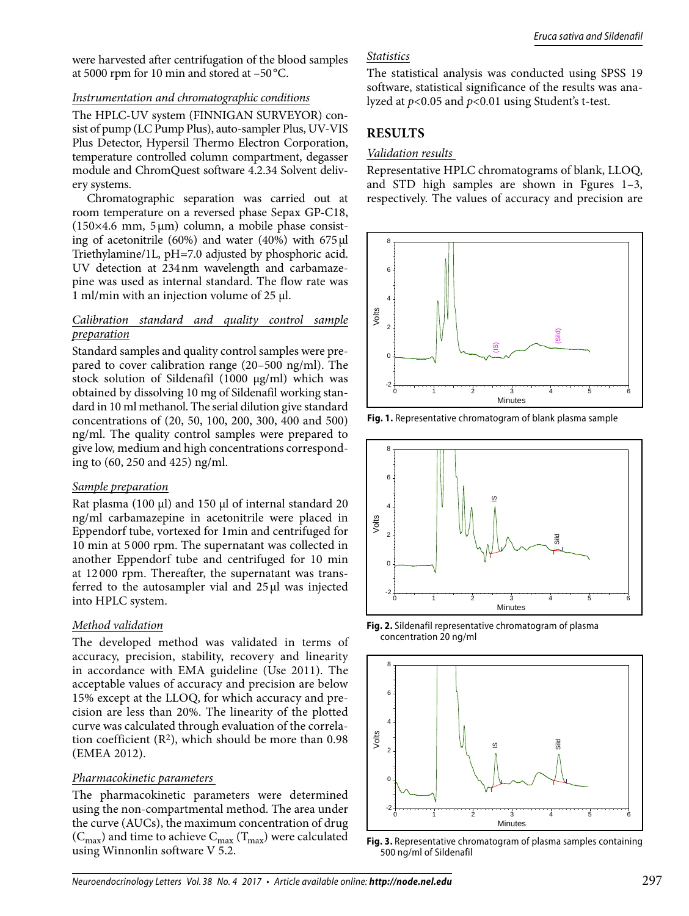were harvested after centrifugation of the blood samples at 5000 rpm for 10 min and stored at –50 °C.

#### *Instrumentation and chromatographic conditions*

The HPLC-UV system (FINNIGAN SURVEYOR) consist of pump (LC Pump Plus), auto-sampler Plus, UV-VIS Plus Detector, Hypersil Thermo Electron Corporation, temperature controlled column compartment, degasser module and ChromQuest software 4.2.34 Solvent delivery systems.

Chromatographic separation was carried out at room temperature on a reversed phase Sepax GP-C18, ( $150\times4.6$  mm,  $5\mu$ m) column, a mobile phase consisting of acetonitrile (60%) and water (40%) with 675 μl Triethylamine/1L, pH=7.0 adjusted by phosphoric acid. UV detection at 234 nm wavelength and carbamazepine was used as internal standard. The flow rate was 1 ml/min with an injection volume of 25 μl.

#### *Calibration standard and quality control sample preparation*

Standard samples and quality control samples were prepared to cover calibration range (20–500 ng/ml). The stock solution of Sildenafil (1000 μg/ml) which was obtained by dissolving 10 mg of Sildenafil working standard in 10 ml methanol. The serial dilution give standard concentrations of (20, 50, 100, 200, 300, 400 and 500) ng/ml. The quality control samples were prepared to give low, medium and high concentrations corresponding to (60, 250 and 425) ng/ml.

#### *Sample preparation*

Rat plasma (100 μl) and 150 μl of internal standard 20 ng/ml carbamazepine in acetonitrile were placed in Eppendorf tube, vortexed for 1min and centrifuged for 10 min at 5 000 rpm. The supernatant was collected in another Eppendorf tube and centrifuged for 10 min at 12 000 rpm. Thereafter, the supernatant was transferred to the autosampler vial and 25 μl was injected into HPLC system.

#### *Method validation*

The developed method was validated in terms of accuracy, precision, stability, recovery and linearity in accordance with EMA guideline (Use 2011). The acceptable values of accuracy and precision are below 15% except at the LLOQ, for which accuracy and precision are less than 20%. The linearity of the plotted curve was calculated through evaluation of the correlation coefficient  $(R^2)$ , which should be more than 0.98 (EMEA 2012).

#### *Pharmacokinetic parameters*

The pharmacokinetic parameters were determined using the non-compartmental method. The area under the curve (AUCs), the maximum concentration of drug  $(C_{\text{max}})$  and time to achieve  $C_{\text{max}}$  (T<sub>max</sub>) were calculated using Winnonlin software V 5.2.

### *Statistics*

The statistical analysis was conducted using SPSS 19 software, statistical significance of the results was analyzed at *p*<0.05 and *p*<0.01 using Student's t-test.

## **RESULTS**

#### *Validation results*

Representative HPLC chromatograms of blank, LLOQ, and STD high samples are shown in Fgures 1–3, respectively. The values of accuracy and precision are



**Fig. 1.** Representative chromatogram of blank plasma sample



**Fig. 2.** Sildenafil representative chromatogram of plasma concentration 20 ng/ml



**Fig. 3.** Representative chromatogram of plasma samples containing 500 ng/ml of Sildenafil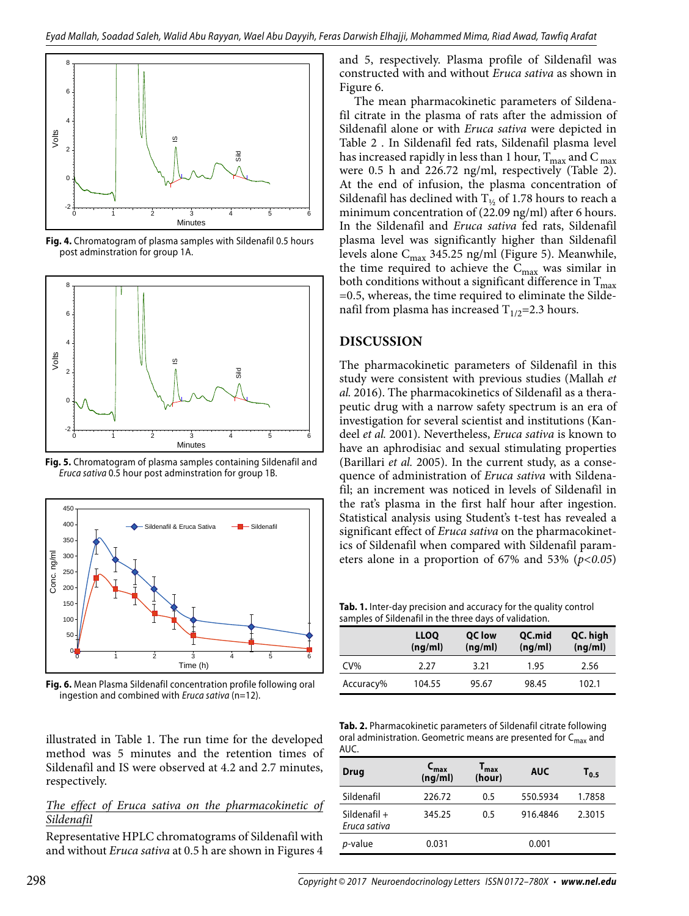

**Fig. 4.** Chromatogram of plasma samples with Sildenafil 0.5 hours post adminstration for group 1A.



**Fig. 5.** Chromatogram of plasma samples containing Sildenafil and Eruca sativa 0.5 hour post adminstration for group 1B.



**Fig. 6.** Mean Plasma Sildenafil concentration profile following oral ingestion and combined with *Eruca sativa* ( $n=12$ ).

illustrated in Table 1. The run time for the developed method was 5 minutes and the retention times of Sildenafil and IS were observed at 4.2 and 2.7 minutes, respectively.

#### *The effect of Eruca sativa on the pharmacokinetic of Sildenafil*

Representative HPLC chromatograms of Sildenafil with and without *Eruca sativa* at 0.5 h are shown in Figures 4 and 5, respectively. Plasma profile of Sildenafil was constructed with and without *Eruca sativa* as shown in Figure 6.

The mean pharmacokinetic parameters of Sildenafil citrate in the plasma of rats after the admission of Sildenafil alone or with *Eruca sativa* were depicted in Table 2 . In Sildenafil fed rats, Sildenafil plasma level has increased rapidly in less than 1 hour,  $T_{\rm max}$  and  $C_{\rm max}$ were 0.5 h and 226.72 ng/ml, respectively (Table 2). At the end of infusion, the plasma concentration of Sildenafil has declined with  $T_{1/2}$  of 1.78 hours to reach a minimum concentration of (22.09 ng/ml) after 6 hours. In the Sildenafil and *Eruca sativa* fed rats, Sildenafil plasma level was significantly higher than Sildenafil levels alone  $C_{\text{max}}$  345.25 ng/ml (Figure 5). Meanwhile, the time required to achieve the  $C_{\text{max}}$  was similar in both conditions without a significant difference in  $T_{\text{max}}$ =0.5, whereas, the time required to eliminate the Sildenafil from plasma has increased  $T_{1/2}$ =2.3 hours.

## **DISCUSSION**

The pharmacokinetic parameters of Sildenafil in this study were consistent with previous studies (Mallah *et al.* 2016). The pharmacokinetics of Sildenafil as a therapeutic drug with a narrow safety spectrum is an era of investigation for several scientist and institutions (Kandeel *et al.* 2001). Nevertheless, *Eruca sativa* is known to have an aphrodisiac and sexual stimulating properties (Barillari *et al.* 2005). In the current study, as a consequence of administration of *Eruca sativa* with Sildenafil; an increment was noticed in levels of Sildenafil in the rat's plasma in the first half hour after ingestion. Statistical analysis using Student's t-test has revealed a significant effect of *Eruca sativa* on the pharmacokinetics of Sildenafil when compared with Sildenafil parameters alone in a proportion of 67% and 53% (*p<0.05*)

**Tab. 1.** Inter-day precision and accuracy for the quality control samples of Sildenafil in the three days of validation.

|           | <b>LLOQ</b><br>(nq/ml) | QC low<br>(nq/ml) | QC.mid<br>(ng/ml) | QC. high<br>(ng/ml) |
|-----------|------------------------|-------------------|-------------------|---------------------|
| $CV\%$    | 2.27                   | 3.21              | 1.95              | 2.56                |
| Accuracy% | 104.55                 | 95.67             | 98.45             | 102.1               |

**Tab. 2.** Pharmacokinetic parameters of Sildenafil citrate following oral administration. Geometric means are presented for C<sub>max</sub> and AUC.

| <b>Drug</b>                    | 'max<br>(ng/ml) | $\mathbf{T}_{\mathbf{max}}$<br>(hour) | <b>AUC</b> | $T_{0.5}$ |
|--------------------------------|-----------------|---------------------------------------|------------|-----------|
| Sildenafil                     | 226.72          | 0.5                                   | 550.5934   | 1.7858    |
| Sildenafil $+$<br>Eruca sativa | 345.25          | 0.5                                   | 916.4846   | 2.3015    |
| p-value                        | 0.031           |                                       | 0.001      |           |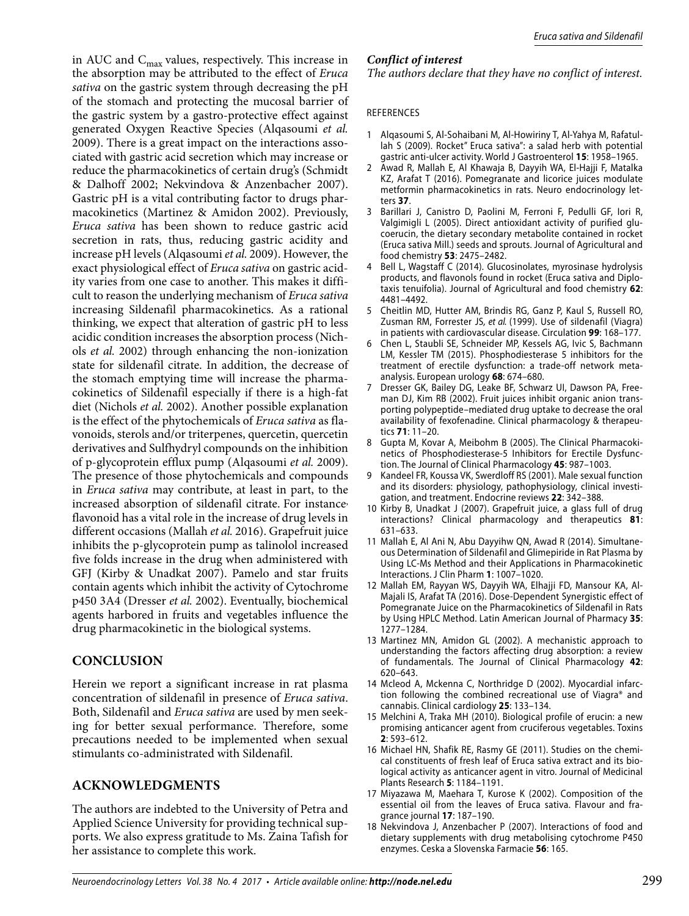in AUC and  $C_{\text{max}}$  values, respectively. This increase in the absorption may be attributed to the effect of *Eruca sativa* on the gastric system through decreasing the pH of the stomach and protecting the mucosal barrier of the gastric system by a gastro-protective effect against generated Oxygen Reactive Species (Alqasoumi *et al.*  2009). There is a great impact on the interactions associated with gastric acid secretion which may increase or reduce the pharmacokinetics of certain drug's (Schmidt & Dalhoff 2002; Nekvindova & Anzenbacher 2007). Gastric pH is a vital contributing factor to drugs pharmacokinetics (Martinez & Amidon 2002). Previously, *Eruca sativa* has been shown to reduce gastric acid secretion in rats, thus, reducing gastric acidity and increase pH levels (Alqasoumi *et al.* 2009). However, the exact physiological effect of *Eruca sativa* on gastric acidity varies from one case to another. This makes it difficult to reason the underlying mechanism of *Eruca sativa* increasing Sildenafil pharmacokinetics. As a rational thinking, we expect that alteration of gastric pH to less acidic condition increases the absorption process (Nichols *et al.* 2002) through enhancing the non-ionization state for sildenafil citrate. In addition, the decrease of the stomach emptying time will increase the pharmacokinetics of Sildenafil especially if there is a high-fat diet (Nichols *et al.* 2002). Another possible explanation is the effect of the phytochemicals of *Eruca sativa* as flavonoids, sterols and/or triterpenes, quercetin, quercetin derivatives and Sulfhydryl compounds on the inhibition of p-glycoprotein efflux pump (Alqasoumi *et al.* 2009). The presence of those phytochemicals and compounds in *Eruca sativa* may contribute, at least in part, to the increased absorption of sildenafil citrate. For instance, flavonoid has a vital role in the increase of drug levels in different occasions (Mallah *et al.* 2016). Grapefruit juice inhibits the p-glycoprotein pump as talinolol increased five folds increase in the drug when administered with GFJ (Kirby & Unadkat 2007). Pamelo and star fruits contain agents which inhibit the activity of Cytochrome p450 3A4 (Dresser *et al.* 2002). Eventually, biochemical agents harbored in fruits and vegetables influence the drug pharmacokinetic in the biological systems.

## **CONCLUSION**

Herein we report a significant increase in rat plasma concentration of sildenafil in presence of *Eruca sativa*. Both, Sildenafil and *Eruca sativa* are used by men seeking for better sexual performance. Therefore, some precautions needed to be implemented when sexual stimulants co-administrated with Sildenafil.

## **ACKNOWLEDGMENTS**

The authors are indebted to the University of Petra and Applied Science University for providing technical supports. We also express gratitude to Ms. Zaina Tafish for her assistance to complete this work.

## *Conflict of interest*

*The authors declare that they have no conflict of interest.*

#### REFERENCES

- 1 Alqasoumi S, Al-Sohaibani M, Al-Howiriny T, Al-Yahya M, Rafatullah S (2009). Rocket" Eruca sativa": a salad herb with potential gastric anti-ulcer activity. World J Gastroenterol **15**: 1958–1965.
- 2 Awad R, Mallah E, Al Khawaja B, Dayyih WA, El-Hajji F, Matalka KZ, Arafat T (2016). Pomegranate and licorice juices modulate metformin pharmacokinetics in rats. Neuro endocrinology letters **37**.
- 3 Barillari J, Canistro D, Paolini M, Ferroni F, Pedulli GF, Iori R, Valgimigli L (2005). Direct antioxidant activity of purified glucoerucin, the dietary secondary metabolite contained in rocket (Eruca sativa Mill.) seeds and sprouts. Journal of Agricultural and food chemistry **53**: 2475–2482.
- 4 Bell L, Wagstaff C (2014). Glucosinolates, myrosinase hydrolysis products, and flavonols found in rocket (Eruca sativa and Diplotaxis tenuifolia). Journal of Agricultural and food chemistry **62**: 4481–4492.
- 5 Cheitlin MD, Hutter AM, Brindis RG, Ganz P, Kaul S, Russell RO, Zusman RM, Forrester JS, et al. (1999). Use of sildenafil (Viagra) in patients with cardiovascular disease. Circulation **99**: 168–177.
- 6 Chen L, Staubli SE, Schneider MP, Kessels AG, Ivic S, Bachmann LM, Kessler TM (2015). Phosphodiesterase 5 inhibitors for the treatment of erectile dysfunction: a trade-off network metaanalysis. European urology **68**: 674–680.
- 7 Dresser GK, Bailey DG, Leake BF, Schwarz UI, Dawson PA, Freeman DJ, Kim RB (2002). Fruit juices inhibit organic anion transporting polypeptide–mediated drug uptake to decrease the oral availability of fexofenadine. Clinical pharmacology & therapeutics **71**: 11–20.
- 8 Gupta M, Kovar A, Meibohm B (2005). The Clinical Pharmacokinetics of Phosphodiesterase‐5 Inhibitors for Erectile Dysfunction. The Journal of Clinical Pharmacology **45**: 987–1003.
- 9 Kandeel FR, Koussa VK, Swerdloff RS (2001). Male sexual function and its disorders: physiology, pathophysiology, clinical investigation, and treatment. Endocrine reviews **22**: 342–388.
- 10 Kirby B, Unadkat J (2007). Grapefruit juice, a glass full of drug interactions? Clinical pharmacology and therapeutics **81**: 631–633.
- 11 Mallah E, Al Ani N, Abu Dayyihw QN, Awad R (2014). Simultaneous Determination of Sildenafil and Glimepiride in Rat Plasma by Using LC-Ms Method and their Applications in Pharmacokinetic Interactions. J Clin Pharm **1**: 1007–1020.
- 12 Mallah EM, Rayyan WS, Dayyih WA, Elhajji FD, Mansour KA, Al-Majali IS, Arafat TA (2016). Dose-Dependent Synergistic effect of Pomegranate Juice on the Pharmacokinetics of Sildenafil in Rats by Using HPLC Method. Latin American Journal of Pharmacy **35**: 1277–1284.
- 13 Martinez MN, Amidon GL (2002). A mechanistic approach to understanding the factors affecting drug absorption: a review of fundamentals. The Journal of Clinical Pharmacology **42**: 620–643.
- 14 Mcleod A, Mckenna C, Northridge D (2002). Myocardial infarction following the combined recreational use of Viagra® and cannabis. Clinical cardiology **25**: 133–134.
- 15 Melchini A, Traka MH (2010). Biological profile of erucin: a new promising anticancer agent from cruciferous vegetables. Toxins **2**: 593–612.
- 16 Michael HN, Shafik RE, Rasmy GE (2011). Studies on the chemical constituents of fresh leaf of Eruca sativa extract and its biological activity as anticancer agent in vitro. Journal of Medicinal Plants Research **5**: 1184–1191.
- 17 Miyazawa M, Maehara T, Kurose K (2002). Composition of the essential oil from the leaves of Eruca sativa. Flavour and fragrance journal **17**: 187–190.
- 18 Nekvindova J, Anzenbacher P (2007). Interactions of food and dietary supplements with drug metabolising cytochrome P450 enzymes. Ceska a Slovenska Farmacie **56**: 165.